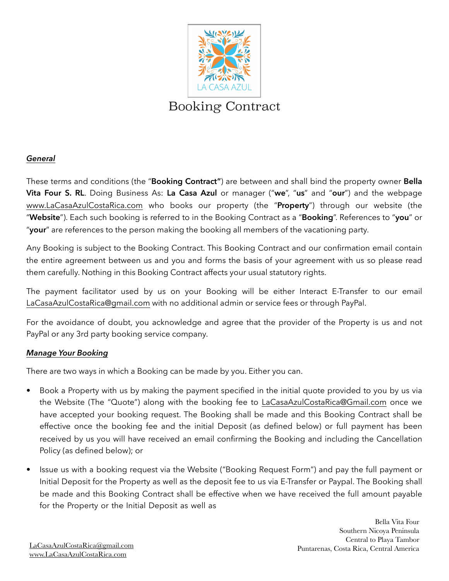

# *General*

These terms and conditions (the "**Booking Contract"**) are between and shall bind the property owner **Bella Vita Four S. RL**. Doing Business As: **La Casa Azul** or manager ("**we**", "**us**" and "**our**") and the webpage [www.LaCasaAzulCostaRica.com](http://www.LaCasaAzulCostaRica.com) who books our property (the "**Property**") through our website (the "**Website**"). Each such booking is referred to in the Booking Contract as a "**Booking**". References to "**you**" or "**your**" are references to the person making the booking all members of the vacationing party.

Any Booking is subject to the Booking Contract. This Booking Contract and our confirmation email contain the entire agreement between us and you and forms the basis of your agreement with us so please read them carefully. Nothing in this Booking Contract affects your usual statutory rights.

The payment facilitator used by us on your Booking will be either Interact E-Transfer to our email [LaCasaAzulCostaRica@gmail.com](mailto:LaCasaAzulCostaRica@gmail.com) with no additional admin or service fees or through PayPal.

For the avoidance of doubt, you acknowledge and agree that the provider of the Property is us and not PayPal or any 3rd party booking service company.

# *Manage Your Booking*

There are two ways in which a Booking can be made by you. Either you can.

- Book a Property with us by making the payment specified in the initial quote provided to you by us via the Website (The "Quote") along with the booking fee to [LaCasaAzulCostaRica@Gmail.com](mailto:LaCasaAzulCostaRica@Gmail.com) once we have accepted your booking request. The Booking shall be made and this Booking Contract shall be effective once the booking fee and the initial Deposit (as defined below) or full payment has been received by us you will have received an email confirming the Booking and including the Cancellation Policy (as defined below); or
- Issue us with a booking request via the Website ("Booking Request Form") and pay the full payment or Initial Deposit for the Property as well as the deposit fee to us via E-Transfer or Paypal. The Booking shall be made and this Booking Contract shall be effective when we have received the full amount payable for the Property or the Initial Deposit as well as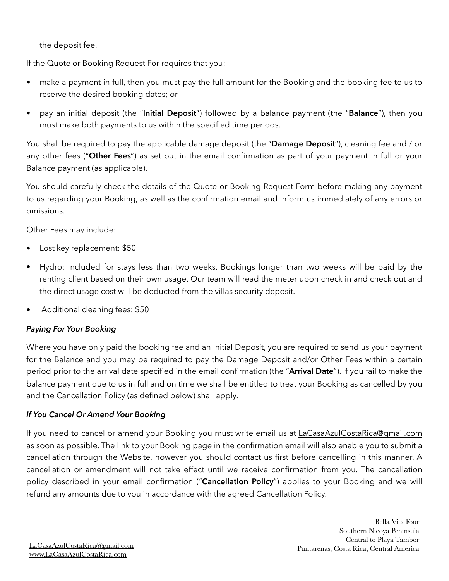the deposit fee.

If the Quote or Booking Request For requires that you:

- make a payment in full, then you must pay the full amount for the Booking and the booking fee to us to reserve the desired booking dates; or
- pay an initial deposit (the "**Initial Deposit**") followed by a balance payment (the "**Balance**"), then you must make both payments to us within the specified time periods.

You shall be required to pay the applicable damage deposit (the "**Damage Deposit**"), cleaning fee and / or any other fees ("**Other Fees**") as set out in the email confirmation as part of your payment in full or your Balance payment (as applicable).

You should carefully check the details of the Quote or Booking Request Form before making any payment to us regarding your Booking, as well as the confirmation email and inform us immediately of any errors or omissions.

Other Fees may include:

- Lost key replacement: \$50
- Hydro: Included for stays less than two weeks. Bookings longer than two weeks will be paid by the renting client based on their own usage. Our team will read the meter upon check in and check out and the direct usage cost will be deducted from the villas security deposit.
- Additional cleaning fees: \$50

# *Paying For Your Booking*

Where you have only paid the booking fee and an Initial Deposit, you are required to send us your payment for the Balance and you may be required to pay the Damage Deposit and/or Other Fees within a certain period prior to the arrival date specified in the email confirmation (the "**Arrival Date**"). If you fail to make the balance payment due to us in full and on time we shall be entitled to treat your Booking as cancelled by you and the Cancellation Policy (as defined below) shall apply.

# *If You Cancel Or Amend Your Booking*

If you need to cancel or amend your Booking you must write email us at [LaCasaAzulCostaRica@gmail.com](mailto:LaCasaAzulCostaRica@gmail.com) as soon as possible. The link to your Booking page in the confirmation email will also enable you to submit a cancellation through the Website, however you should contact us first before cancelling in this manner. A cancellation or amendment will not take effect until we receive confirmation from you. The cancellation policy described in your email confirmation ("**Cancellation Policy**") applies to your Booking and we will refund any amounts due to you in accordance with the agreed Cancellation Policy.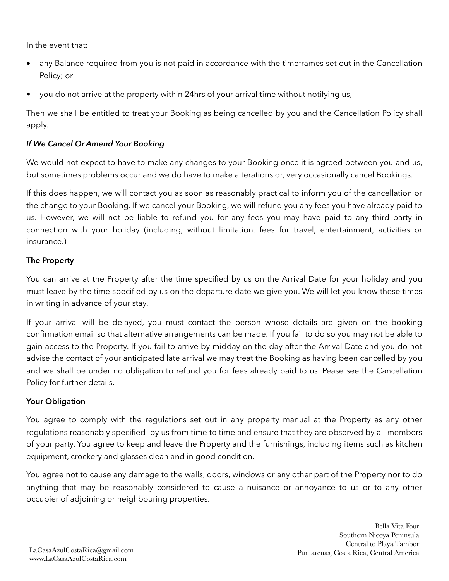In the event that:

- any Balance required from you is not paid in accordance with the timeframes set out in the Cancellation Policy; or
- you do not arrive at the property within 24hrs of your arrival time without notifying us,

Then we shall be entitled to treat your Booking as being cancelled by you and the Cancellation Policy shall apply.

#### *If We Cancel Or Amend Your Booking*

We would not expect to have to make any changes to your Booking once it is agreed between you and us, but sometimes problems occur and we do have to make alterations or, very occasionally cancel Bookings.

If this does happen, we will contact you as soon as reasonably practical to inform you of the cancellation or the change to your Booking. If we cancel your Booking, we will refund you any fees you have already paid to us. However, we will not be liable to refund you for any fees you may have paid to any third party in connection with your holiday (including, without limitation, fees for travel, entertainment, activities or insurance.)

### **The Property**

You can arrive at the Property after the time specified by us on the Arrival Date for your holiday and you must leave by the time specified by us on the departure date we give you. We will let you know these times in writing in advance of your stay.

If your arrival will be delayed, you must contact the person whose details are given on the booking confirmation email so that alternative arrangements can be made. If you fail to do so you may not be able to gain access to the Property. If you fail to arrive by midday on the day after the Arrival Date and you do not advise the contact of your anticipated late arrival we may treat the Booking as having been cancelled by you and we shall be under no obligation to refund you for fees already paid to us. Pease see the Cancellation Policy for further details.

### **Your Obligation**

You agree to comply with the regulations set out in any property manual at the Property as any other regulations reasonably specified by us from time to time and ensure that they are observed by all members of your party. You agree to keep and leave the Property and the furnishings, including items such as kitchen equipment, crockery and glasses clean and in good condition.

You agree not to cause any damage to the walls, doors, windows or any other part of the Property nor to do anything that may be reasonably considered to cause a nuisance or annoyance to us or to any other occupier of adjoining or neighbouring properties.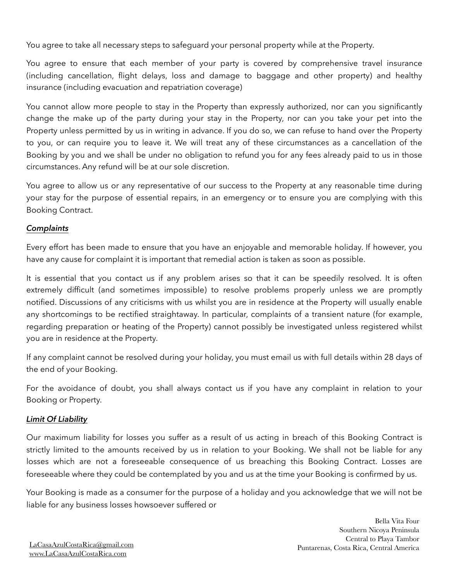You agree to take all necessary steps to safeguard your personal property while at the Property.

You agree to ensure that each member of your party is covered by comprehensive travel insurance (including cancellation, flight delays, loss and damage to baggage and other property) and healthy insurance (including evacuation and repatriation coverage)

You cannot allow more people to stay in the Property than expressly authorized, nor can you significantly change the make up of the party during your stay in the Property, nor can you take your pet into the Property unless permitted by us in writing in advance. If you do so, we can refuse to hand over the Property to you, or can require you to leave it. We will treat any of these circumstances as a cancellation of the Booking by you and we shall be under no obligation to refund you for any fees already paid to us in those circumstances. Any refund will be at our sole discretion.

You agree to allow us or any representative of our success to the Property at any reasonable time during your stay for the purpose of essential repairs, in an emergency or to ensure you are complying with this Booking Contract.

### *Complaints*

Every effort has been made to ensure that you have an enjoyable and memorable holiday. If however, you have any cause for complaint it is important that remedial action is taken as soon as possible.

It is essential that you contact us if any problem arises so that it can be speedily resolved. It is often extremely difficult (and sometimes impossible) to resolve problems properly unless we are promptly notified. Discussions of any criticisms with us whilst you are in residence at the Property will usually enable any shortcomings to be rectified straightaway. In particular, complaints of a transient nature (for example, regarding preparation or heating of the Property) cannot possibly be investigated unless registered whilst you are in residence at the Property.

If any complaint cannot be resolved during your holiday, you must email us with full details within 28 days of the end of your Booking.

For the avoidance of doubt, you shall always contact us if you have any complaint in relation to your Booking or Property.

# *Limit Of Liability*

Our maximum liability for losses you suffer as a result of us acting in breach of this Booking Contract is strictly limited to the amounts received by us in relation to your Booking. We shall not be liable for any losses which are not a foreseeable consequence of us breaching this Booking Contract. Losses are foreseeable where they could be contemplated by you and us at the time your Booking is confirmed by us.

Your Booking is made as a consumer for the purpose of a holiday and you acknowledge that we will not be liable for any business losses howsoever suffered or